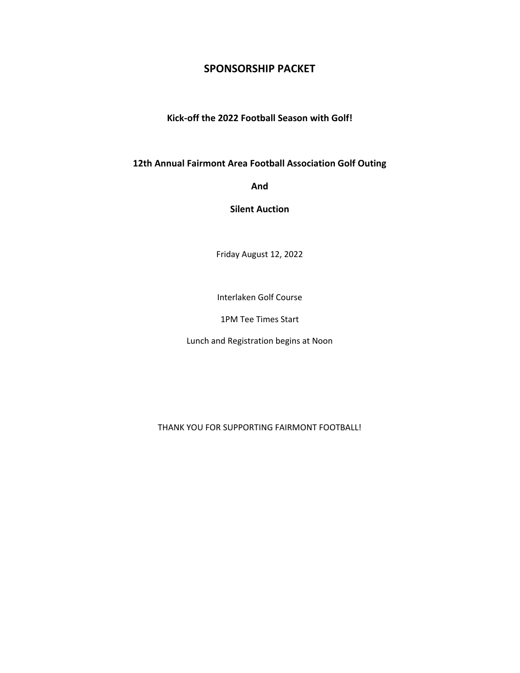## **SPONSORSHIP PACKET**

**Kick-off the 2022 Football Season with Golf!**

**12th Annual Fairmont Area Football Association Golf Outing**

**And**

**Silent Auction**

Friday August 12, 2022

Interlaken Golf Course

1PM Tee Times Start

Lunch and Registration begins at Noon

THANK YOU FOR SUPPORTING FAIRMONT FOOTBALL!